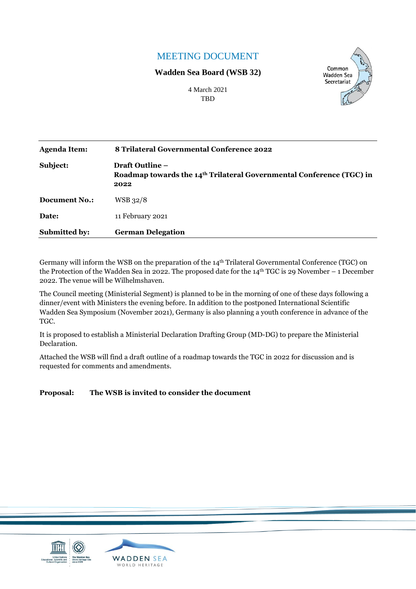### MEETING DOCUMENT

#### **Wadden Sea Board (WSB 32)**



4 March 2021 **TBD** 

| <b>Agenda Item:</b>  | 8 Trilateral Governmental Conference 2022                                                                          |
|----------------------|--------------------------------------------------------------------------------------------------------------------|
| Subject:             | <b>Draft Outline –</b><br>Roadmap towards the 14 <sup>th</sup> Trilateral Governmental Conference (TGC) in<br>2022 |
| Document No.:        | WSB 32/8                                                                                                           |
| Date:                | 11 February 2021                                                                                                   |
| <b>Submitted by:</b> | <b>German Delegation</b>                                                                                           |

Germany will inform the WSB on the preparation of the 14th Trilateral Governmental Conference (TGC) on the Protection of the Wadden Sea in 2022. The proposed date for the  $14<sup>th</sup> TGC$  is 29 November – 1 December 2022. The venue will be Wilhelmshaven.

The Council meeting (Ministerial Segment) is planned to be in the morning of one of these days following a dinner/event with Ministers the evening before. In addition to the postponed International Scientific Wadden Sea Symposium (November 2021), Germany is also planning a youth conference in advance of the TGC.

It is proposed to establish a Ministerial Declaration Drafting Group (MD-DG) to prepare the Ministerial Declaration.

Attached the WSB will find a draft outline of a roadmap towards the TGC in 2022 for discussion and is requested for comments and amendments.

#### **Proposal: The WSB is invited to consider the document**

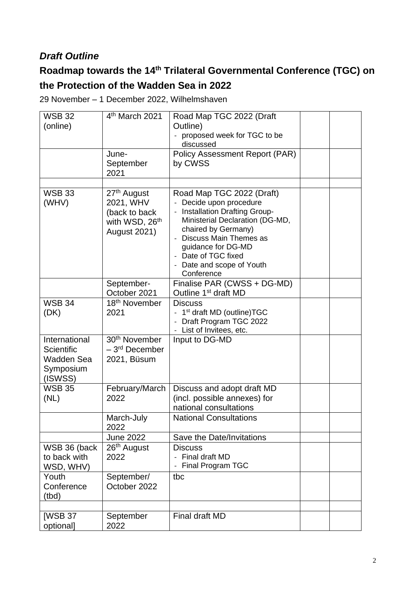## *Draft Outline*

# **Roadmap towards the 14th Trilateral Governmental Conference (TGC) on the Protection of the Wadden Sea in 2022**

29 November – 1 December 2022, Wilhelmshaven

| <b>WSB 32</b>                                                     | 4 <sup>th</sup> March 2021                                                                                 | Road Map TGC 2022 (Draft                                                                                                                                                                                                                                              |  |
|-------------------------------------------------------------------|------------------------------------------------------------------------------------------------------------|-----------------------------------------------------------------------------------------------------------------------------------------------------------------------------------------------------------------------------------------------------------------------|--|
| (online)                                                          |                                                                                                            | Outline)<br>proposed week for TGC to be                                                                                                                                                                                                                               |  |
|                                                                   |                                                                                                            | discussed                                                                                                                                                                                                                                                             |  |
|                                                                   | June-<br>September<br>2021                                                                                 | <b>Policy Assessment Report (PAR)</b><br>by CWSS                                                                                                                                                                                                                      |  |
| <b>WSB 33</b><br>(WHV)                                            | 27 <sup>th</sup> August<br>2021, WHV<br>(back to back<br>with WSD, 26 <sup>th</sup><br><b>August 2021)</b> | Road Map TGC 2022 (Draft)<br>Decide upon procedure<br><b>Installation Drafting Group-</b><br>Ministerial Declaration (DG-MD,<br>chaired by Germany)<br>Discuss Main Themes as<br>guidance for DG-MD<br>- Date of TGC fixed<br>- Date and scope of Youth<br>Conference |  |
|                                                                   | September-<br>October 2021                                                                                 | Finalise PAR (CWSS + DG-MD)<br>Outline 1 <sup>st</sup> draft MD                                                                                                                                                                                                       |  |
| <b>WSB 34</b><br>(DK)                                             | 18 <sup>th</sup> November<br>2021                                                                          | <b>Discuss</b><br>1 <sup>st</sup> draft MD (outline)TGC<br>Draft Program TGC 2022<br>- List of Invitees, etc.                                                                                                                                                         |  |
| International<br>Scientific<br>Wadden Sea<br>Symposium<br>(ISWSS) | 30 <sup>th</sup> November<br>- 3 <sup>rd</sup> December<br>2021, Büsum                                     | Input to DG-MD                                                                                                                                                                                                                                                        |  |
| <b>WSB 35</b><br>(NL)                                             | February/March<br>2022                                                                                     | Discuss and adopt draft MD<br>(incl. possible annexes) for<br>national consultations                                                                                                                                                                                  |  |
|                                                                   | March-July<br>2022                                                                                         | <b>National Consultations</b>                                                                                                                                                                                                                                         |  |
|                                                                   | <b>June 2022</b>                                                                                           | Save the Date/Invitations                                                                                                                                                                                                                                             |  |
| WSB 36 (back<br>to back with<br>WSD, WHV)                         | 26th August<br>2022                                                                                        | <b>Discuss</b><br>Final draft MD<br>Final Program TGC                                                                                                                                                                                                                 |  |
| Youth<br>Conference<br>(tbd)                                      | September/<br>October 2022                                                                                 | tbc                                                                                                                                                                                                                                                                   |  |
| [WSB 37<br>optional]                                              | September<br>2022                                                                                          | <b>Final draft MD</b>                                                                                                                                                                                                                                                 |  |